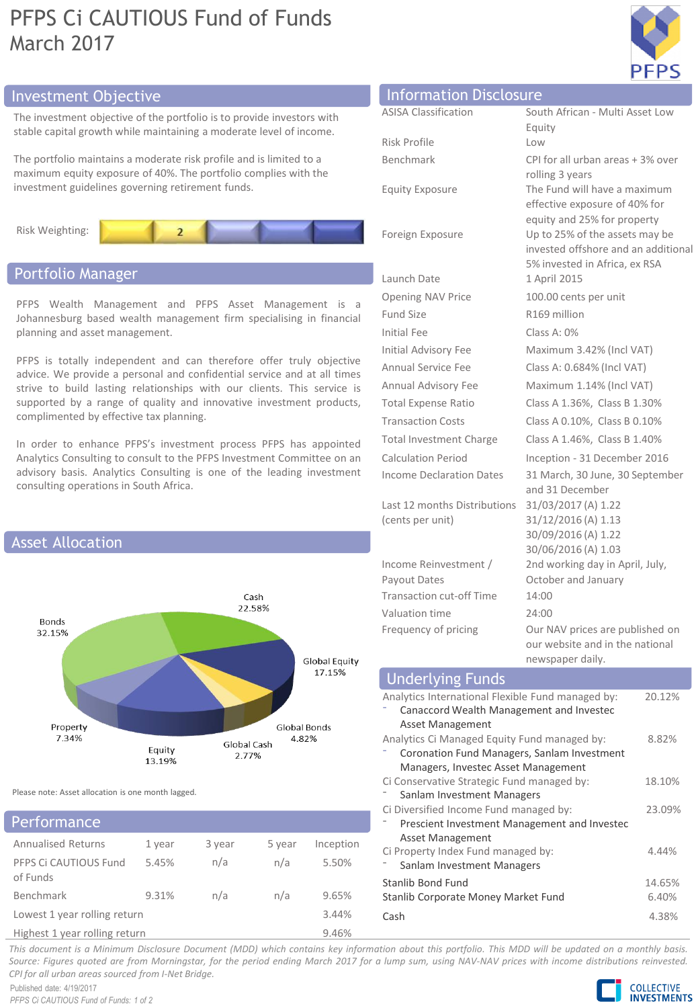# PFPS Ci CAUTIOUS Fund of Funds March 2017



# Investment Objective Information Disclosure Information Disclos

The investment objective of the portfolio is to provide investors with stable capital growth while maintaining a moderate level of income.

The portfolio maintains a moderate risk profile and is limited to a maximum equity exposure of 40%. The portfolio complies with the investment guidelines governing retirement funds.



## Portfolio Manager

PFPS Wealth Management and PFPS Asset Management is a Johannesburg based wealth management firm specialising in financial planning and asset management.

PFPS is totally independent and can therefore offer truly objective advice. We provide a personal and confidential service and at all times strive to build lasting relationships with our clients. This service is supported by a range of quality and innovative investment products, complimented by effective tax planning.

In order to enhance PFPS's investment process PFPS has appointed Analytics Consulting to consult to the PFPS Investment Committee on an advisory basis. Analytics Consulting is one of the leading investment consulting operations in South Africa.



Please note: Asset allocation is one month lagged.

| <b>Performance</b>        |        |        |        |           |
|---------------------------|--------|--------|--------|-----------|
| <b>Annualised Returns</b> | 1 vear | 3 year | 5 year | Inception |
| PFPS Ci CAUTIOUS Fund     | 5.45%  | n/a    | n/a    | 5.50%     |

| PFPS Ci CAUTIOUS Fund         | 5.45% | n/a | n/a | 5.50% |
|-------------------------------|-------|-----|-----|-------|
| of Funds                      |       |     |     |       |
| Benchmark                     | 9.31% | n/a | n/a | 9.65% |
| Lowest 1 year rolling return  |       |     |     | 3.44% |
| Highest 1 year rolling return |       |     |     | 9.46% |

| <b>INFORMATION DISClOSURE</b>                    |                                                                                                        |
|--------------------------------------------------|--------------------------------------------------------------------------------------------------------|
| <b>ASISA Classification</b>                      | South African - Multi Asset Low                                                                        |
|                                                  | Equity                                                                                                 |
| Risk Profile                                     | Low                                                                                                    |
| Benchmark                                        | CPI for all urban areas + 3% over<br>rolling 3 years                                                   |
| <b>Equity Exposure</b>                           | The Fund will have a maximum<br>effective exposure of 40% for<br>equity and 25% for property           |
| Foreign Exposure                                 | Up to 25% of the assets may be<br>invested offshore and an additional<br>5% invested in Africa, ex RSA |
| Launch Date                                      | 1 April 2015                                                                                           |
| <b>Opening NAV Price</b>                         | 100.00 cents per unit                                                                                  |
| <b>Fund Size</b>                                 | R169 million                                                                                           |
| Initial Fee                                      | $Class A: 0\%$                                                                                         |
| Initial Advisory Fee                             | Maximum 3.42% (Incl VAT)                                                                               |
| Annual Service Fee                               | Class A: 0.684% (Incl VAT)                                                                             |
| Annual Advisory Fee                              | Maximum 1.14% (Incl VAT)                                                                               |
| <b>Total Expense Ratio</b>                       | Class A 1.36%, Class B 1.30%                                                                           |
| <b>Transaction Costs</b>                         | Class A 0.10%, Class B 0.10%                                                                           |
| <b>Total Investment Charge</b>                   | Class A 1.46%, Class B 1.40%                                                                           |
| <b>Calculation Period</b>                        | Inception - 31 December 2016                                                                           |
| <b>Income Declaration Dates</b>                  | 31 March, 30 June, 30 September<br>and 31 December                                                     |
| Last 12 months Distributions<br>(cents per unit) | 31/03/2017 (A) 1.22<br>31/12/2016 (A) 1.13<br>30/09/2016 (A) 1.22<br>30/06/2016 (A) 1.03               |
| Income Reinvestment /<br>Payout Dates            | 2nd working day in April, July,<br>October and January                                                 |
| <b>Transaction cut-off Time</b>                  | 14:00                                                                                                  |
| Valuation time                                   | 24:00                                                                                                  |

Frequency of pricing Our NAV prices are published on our website and in the national newspaper daily.

| <b>Underlying Funds</b>                           |        |
|---------------------------------------------------|--------|
| Analytics International Flexible Fund managed by: | 20.12% |
| Canaccord Wealth Management and Investec          |        |
| Asset Management                                  |        |
| Analytics Ci Managed Equity Fund managed by:      | 8.82%  |
| Coronation Fund Managers, Sanlam Investment       |        |
| Managers, Investec Asset Management               |        |
| Ci Conservative Strategic Fund managed by:        | 18.10% |
| Sanlam Investment Managers                        |        |
| Ci Diversified Income Fund managed by:            | 23.09% |
| Prescient Investment Management and Investec      |        |
| Asset Management                                  |        |
| Ci Property Index Fund managed by:                | 4.44%  |
| Sanlam Investment Managers                        |        |
| Stanlib Bond Fund                                 | 14.65% |
| Stanlib Corporate Money Market Fund               | 6.40%  |
| Cash                                              | 4.38%  |

This document is a Minimum Disclosure Document (MDD) which contains key information about this portfolio. This MDD will be updated on a monthly basis. Source: Figures quoted are from Morningstar, for the period ending March 2017 for a lump sum, using NAV-NAV prices with income distributions reinvested. *CPI for all urban areas sourced from I-Net Bridge.*

Published date: 4/19/2017 *PFPS Ci CAUTIOUS Fund of Funds: 1 of 2*